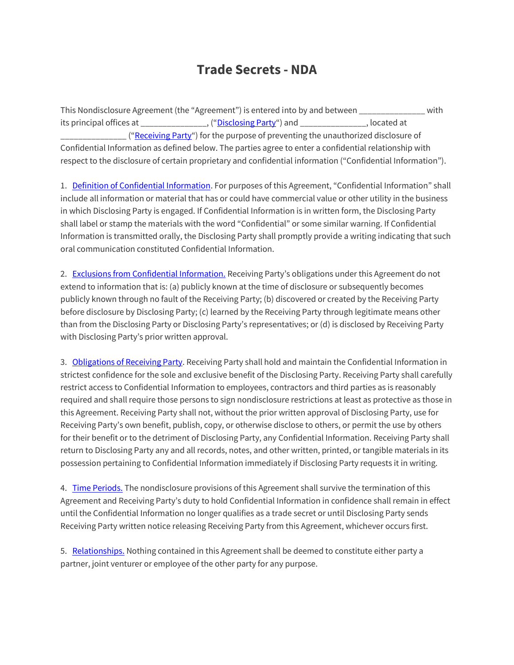## **Trade Secrets - NDA**

This Nondisclosure Agreement (the "Agreement") is entered into by and between \_\_\_\_\_\_\_\_\_\_\_\_\_\_\_ with its principal offices at \_\_\_\_\_\_\_\_\_\_\_\_\_\_, ("[Disclosing Party](https://nondisclosureagreement.com/#Disclosing_Party)") and \_\_\_\_\_\_\_\_\_\_\_\_\_\_, located at \_\_\_\_\_\_\_\_\_\_\_\_\_\_\_ ("[Receiving Party](https://nondisclosureagreement.com/#Receiving_Party)") for the purpose of preventing the unauthorized disclosure of Confidential Information as defined below. The parties agree to enter a confidential relationship with respect to the disclosure of certain proprietary and confidential information ("Confidential Information").

1. [Definition of Confidential Information](https://nondisclosureagreement.com/#Definition_of_Confidential_Information). For purposes of this Agreement, "Confidential Information" shall include all information or material that has or could have commercial value or other utility in the business in which Disclosing Party is engaged. If Confidential Information is in written form, the Disclosing Party shall label or stamp the materials with the word "Confidential" or some similar warning. If Confidential Information is transmitted orally, the Disclosing Party shall promptly provide a writing indicating that such oral communication constituted Confidential Information.

2. [Exclusions from Confidential Information.](https://nondisclosureagreement.com/#Exclusions_from_Confidential_Information) Receiving Party's obligations under this Agreement do not extend to information that is: (a) publicly known at the time of disclosure or subsequently becomes publicly known through no fault of the Receiving Party; (b) discovered or created by the Receiving Party before disclosure by Disclosing Party; (c) learned by the Receiving Party through legitimate means other than from the Disclosing Party or Disclosing Party's representatives; or (d) is disclosed by Receiving Party with Disclosing Party's prior written approval.

3. [Obligations of Receiving Party.](https://nondisclosureagreement.com/#Obligations_of_Receiving_Party) Receiving Party shall hold and maintain the Confidential Information in strictest confidence for the sole and exclusive benefit of the Disclosing Party. Receiving Party shall carefully restrict access to Confidential Information to employees, contractors and third parties as is reasonably required and shall require those persons to sign nondisclosure restrictions at least as protective as those in this Agreement. Receiving Party shall not, without the prior written approval of Disclosing Party, use for Receiving Party's own benefit, publish, copy, or otherwise disclose to others, or permit the use by others for their benefit or to the detriment of Disclosing Party, any Confidential Information. Receiving Party shall return to Disclosing Party any and all records, notes, and other written, printed, or tangible materials in its possession pertaining to Confidential Information immediately if Disclosing Party requests it in writing.

4. [Time Periods.](https://nondisclosureagreement.com/#Time_Periods) The nondisclosure provisions of this Agreement shall survive the termination of this Agreement and Receiving Party's duty to hold Confidential Information in confidence shall remain in effect until the Confidential Information no longer qualifies as a trade secret or until Disclosing Party sends Receiving Party written notice releasing Receiving Party from this Agreement, whichever occurs first.

5. [Relationships.](https://nondisclosureagreement.com/#Relationships) Nothing contained in this Agreement shall be deemed to constitute either party a partner, joint venturer or employee of the other party for any purpose.